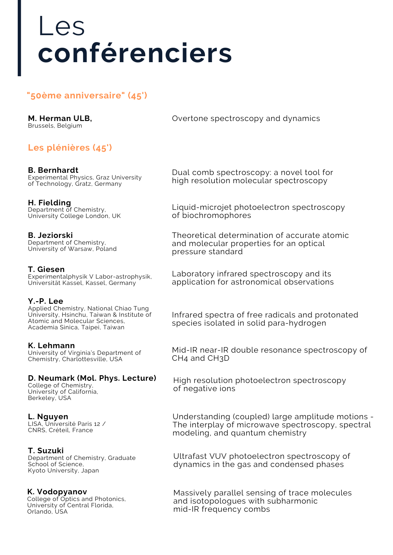# Les **conférenciers**

# **"50ème anniversaire" (45')**

**M. Herman ULB,** Brussels, Belgium

# **Les plénières (45')**

**B. Bernhardt** Experimental Physics, Graz University of Technology, Gratz, Germany

**H. Fielding** Department of Chemistry, University College London, UK

**B. Jeziorski** Department of Chemistry, University of Warsaw, Poland

**T. Giesen** Experimentalphysik V Labor-astrophysik, Universität Kassel, Kassel, Germany

## **Y.-P. Lee**

Applied Chemistry, National Chiao Tung University, Hsinchu, Taiwan & Institute of Atomic and Molecular Sciences, Academia Sinica, Taipei, Taiwan

**K. Lehmann** University of Virginia's Department of Chemistry, Charlottesville, USA

## **D. Neumark (Mol. Phys. Lecture)**

College of Chemistry, University of California, Berkeley, USA

## **L. Nguyen**

LISA, Université Paris 12 / CNRS, Créteil, France

#### **T. Suzuki**

Department of Chemistry, Graduate School of Science, Kyoto University, Japan

# **K. Vodopyanov**

College of Optics and Photonics, University of Central Florida, Orlando, USA

Overtone spectroscopy and dynamics

Dual comb spectroscopy: a novel tool for high resolution molecular spectroscopy

Liquid-microjet photoelectron spectroscopy of biochromophores

Theoretical determination of accurate atomic and molecular properties for an optical pressure standard

Laboratory infrared spectroscopy and its application for astronomical observations

Infrared spectra of free radicals and protonated species isolated in solid para-hydrogen

Mid-IR near-IR double resonance spectroscopy of CH4 and CH3D

High resolution photoelectron spectroscopy of negative ions

Understanding (coupled) large amplitude motions - The interplay of microwave spectroscopy, spectral modeling, and quantum chemistry

Ultrafast VUV photoelectron spectroscopy of dynamics in the gas and condensed phases

Massively parallel sensing of trace molecules and isotopologues with subharmonic mid-IR frequency combs